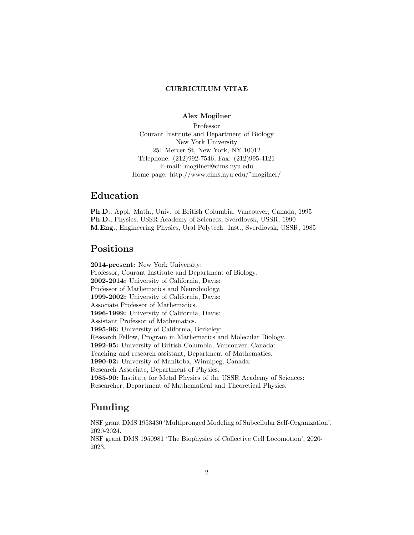#### CURRICULUM VITAE

#### Alex Mogilner

Professor Courant Institute and Department of Biology New York University 251 Mercer St, New York, NY 10012 Telephone: (212)992-7546, Fax: (212)995-4121 E-mail: mogilner@cims.nyu.edu Home page: http://www.cims.nyu.edu/˜mogilner/

### Education

Ph.D., Appl. Math., Univ. of British Columbia, Vancouver, Canada, 1995 Ph.D., Physics, USSR Academy of Sciences, Sverdlovsk, USSR, 1990 M.Eng., Engineering Physics, Ural Polytech. Inst., Sverdlovsk, USSR, 1985

## Positions

2014-present: New York University: Professor, Courant Institute and Department of Biology. 2002-2014: University of California, Davis: Professor of Mathematics and Neurobiology. 1999-2002: University of California, Davis: Associate Professor of Mathematics. 1996-1999: University of California, Davis: Assistant Professor of Mathematics. 1995-96: University of California, Berkeley: Research Fellow, Program in Mathematics and Molecular Biology. 1992-95: University of British Columbia, Vancouver, Canada: Teaching and research assistant, Department of Mathematics. 1990-92: University of Manitoba, Winnipeg, Canada: Research Associate, Department of Physics. 1985-90: Institute for Metal Physics of the USSR Academy of Sciences: Researcher, Department of Mathematical and Theoretical Physics.

### Funding

NSF grant DMS 1953430 'Multipronged Modeling of Subcellular Self-Organization', 2020-2024.

NSF grant DMS 1950981 'The Biophysics of Collective Cell Locomotion', 2020- 2023.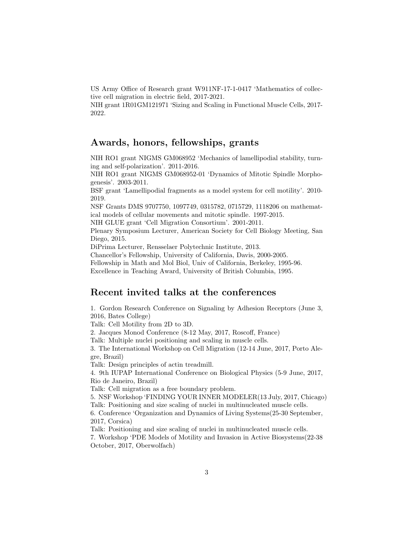US Army Office of Research grant W911NF-17-1-0417 'Mathematics of collective cell migration in electric field, 2017-2021.

NIH grant 1R01GM121971 'Sizing and Scaling in Functional Muscle Cells, 2017- 2022.

### Awards, honors, fellowships, grants

NIH RO1 grant NIGMS GM068952 'Mechanics of lamellipodial stability, turning and self-polarization'. 2011-2016.

NIH RO1 grant NIGMS GM068952-01 'Dynamics of Mitotic Spindle Morphogenesis'. 2003-2011.

BSF grant 'Lamellipodial fragments as a model system for cell motility'. 2010- 2019.

NSF Grants DMS 9707750, 1097749, 0315782, 0715729, 1118206 on mathematical models of cellular movements and mitotic spindle. 1997-2015.

NIH GLUE grant 'Cell Migration Consortium'. 2001-2011.

Plenary Symposium Lecturer, American Society for Cell Biology Meeting, San Diego, 2015.

DiPrima Lecturer, Rensselaer Polytechnic Institute, 2013.

Chancellor's Fellowship, University of California, Davis, 2000-2005.

Fellowship in Math and Mol Biol, Univ of California, Berkeley, 1995-96.

Excellence in Teaching Award, University of British Columbia, 1995.

### Recent invited talks at the conferences

1. Gordon Research Conference on Signaling by Adhesion Receptors (June 3, 2016, Bates College) Talk: Cell Motility from 2D to 3D. 2. Jacques Monod Conference (8-12 May, 2017, Roscoff, France) Talk: Multiple nuclei positioning and scaling in muscle cells. 3. The International Workshop on Cell Migration (12-14 June, 2017, Porto Alegre, Brazil) Talk: Design principles of actin treadmill. 4. 9th IUPAP International Conference on Biological Physics (5-9 June, 2017, Rio de Janeiro, Brazil) Talk: Cell migration as a free boundary problem. 5. NSF Workshop 'FINDING YOUR INNER MODELER(13 July, 2017, Chicago) Talk: Positioning and size scaling of nuclei in multinucleated muscle cells. 6. Conference 'Organization and Dynamics of Living Systems(25-30 September, 2017, Corsica) Talk: Positioning and size scaling of nuclei in multinucleated muscle cells. 7. Workshop 'PDE Models of Motility and Invasion in Active Biosystems(22-38 October, 2017, Oberwolfach)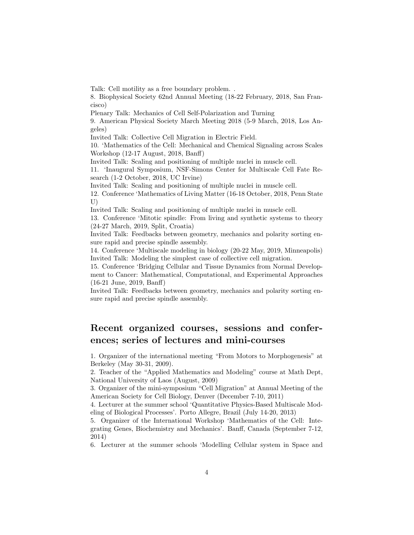Talk: Cell motility as a free boundary problem. .

8. Biophysical Society 62nd Annual Meeting (18-22 February, 2018, San Francisco)

Plenary Talk: Mechanics of Cell Self-Polarization and Turning

9. American Physical Society March Meeting 2018 (5-9 March, 2018, Los Angeles)

Invited Talk: Collective Cell Migration in Electric Field.

10. 'Mathematics of the Cell: Mechanical and Chemical Signaling across Scales Workshop (12-17 August, 2018, Banff)

Invited Talk: Scaling and positioning of multiple nuclei in muscle cell.

11. 'Inaugural Symposium, NSF-Simons Center for Multiscale Cell Fate Research (1-2 October, 2018, UC Irvine)

Invited Talk: Scaling and positioning of multiple nuclei in muscle cell.

12. Conference 'Mathematics of Living Matter (16-18 October, 2018, Penn State U)

Invited Talk: Scaling and positioning of multiple nuclei in muscle cell.

13. Conference 'Mitotic spindle: From living and synthetic systems to theory (24-27 March, 2019, Split, Croatia)

Invited Talk: Feedbacks between geometry, mechanics and polarity sorting ensure rapid and precise spindle assembly.

14. Conference 'Multiscale modeling in biology (20-22 May, 2019, Minneapolis) Invited Talk: Modeling the simplest case of collective cell migration.

15. Conference 'Bridging Cellular and Tissue Dynamics from Normal Development to Cancer: Mathematical, Computational, and Experimental Approaches (16-21 June, 2019, Banff)

Invited Talk: Feedbacks between geometry, mechanics and polarity sorting ensure rapid and precise spindle assembly.

# Recent organized courses, sessions and conferences; series of lectures and mini-courses

1. Organizer of the international meeting "From Motors to Morphogenesis" at Berkeley (May 30-31, 2009).

2. Teacher of the "Applied Mathematics and Modeling" course at Math Dept, National University of Laos (August, 2009)

3. Organizer of the mini-symposium "Cell Migration" at Annual Meeting of the American Society for Cell Biology, Denver (December 7-10, 2011)

4. Lecturer at the summer school 'Quantitative Physics-Based Multiscale Modeling of Biological Processes'. Porto Allegre, Brazil (July 14-20, 2013)

5. Organizer of the International Workshop 'Mathematics of the Cell: Integrating Genes, Biochemistry and Mechanics'. Banff, Canada (September 7-12, 2014)

6. Lecturer at the summer schools 'Modelling Cellular system in Space and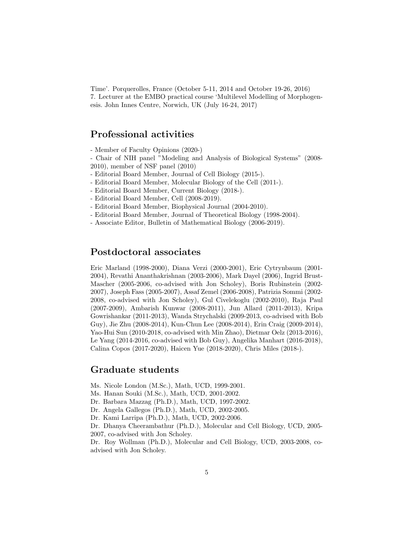Time'. Porquerolles, France (October 5-11, 2014 and October 19-26, 2016) 7. Lecturer at the EMBO practical course 'Multilevel Modelling of Morphogenesis. John Innes Centre, Norwich, UK (July 16-24, 2017)

### Professional activities

- Member of Faculty Opinions (2020-)

- Chair of NIH panel "Modeling and Analysis of Biological Systems" (2008- 2010), member of NSF panel (2010)

- Editorial Board Member, Journal of Cell Biology (2015-).
- Editorial Board Member, Molecular Biology of the Cell (2011-).
- Editorial Board Member, Current Biology (2018-).
- Editorial Board Member, Cell (2008-2019).
- Editorial Board Member, Biophysical Journal (2004-2010).
- Editorial Board Member, Journal of Theoretical Biology (1998-2004).
- Associate Editor, Bulletin of Mathematical Biology (2006-2019).

### Postdoctoral associates

Eric Marland (1998-2000), Diana Verzi (2000-2001), Eric Cytrynbaum (2001- 2004), Revathi Ananthakrishnan (2003-2006), Mark Dayel (2006), Ingrid Brust-Mascher (2005-2006, co-advised with Jon Scholey), Boris Rubinstein (2002- 2007), Joseph Fass (2005-2007), Assaf Zemel (2006-2008), Patrizia Sommi (2002- 2008, co-advised with Jon Scholey), Gul Civelekoglu (2002-2010), Raja Paul (2007-2009), Ambarish Kunwar (2008-2011), Jun Allard (2011-2013), Kripa Gowrishankar (2011-2013), Wanda Strychalski (2009-2013, co-advised with Bob Guy), Jie Zhu (2008-2014), Kun-Chun Lee (2008-2014), Erin Craig (2009-2014), Yao-Hui Sun (2010-2018, co-advised with Min Zhao), Dietmar Oelz (2013-2016), Le Yang (2014-2016, co-advised with Bob Guy), Angelika Manhart (2016-2018), Calina Copos (2017-2020), Haicen Yue (2018-2020), Chris Miles (2018-).

#### Graduate students

- Ms. Nicole London (M.Sc.), Math, UCD, 1999-2001.
- Ms. Hanan Souki (M.Sc.), Math, UCD, 2001-2002.
- Dr. Barbara Mazzag (Ph.D.), Math, UCD, 1997-2002.
- Dr. Angela Gallegos (Ph.D.), Math, UCD, 2002-2005.
- Dr. Kami Larripa (Ph.D.), Math, UCD, 2002-2006.

Dr. Dhanya Cheerambathur (Ph.D.), Molecular and Cell Biology, UCD, 2005- 2007, co-advised with Jon Scholey.

Dr. Roy Wollman (Ph.D.), Molecular and Cell Biology, UCD, 2003-2008, coadvised with Jon Scholey.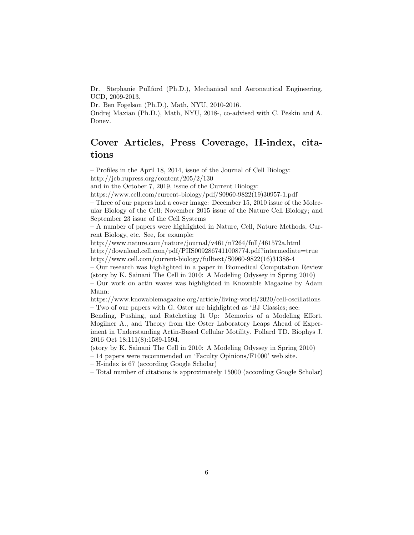Dr. Stephanie Pullford (Ph.D.), Mechanical and Aeronautical Engineering, UCD, 2009-2013.

Dr. Ben Fogelson (Ph.D.), Math, NYU, 2010-2016.

Ondrej Maxian (Ph.D.), Math, NYU, 2018-, co-advised with C. Peskin and A. Donev.

## Cover Articles, Press Coverage, H-index, citations

– Profiles in the April 18, 2014, issue of the Journal of Cell Biology:

http://jcb.rupress.org/content/205/2/130

and in the October 7, 2019, issue of the Current Biology:

https://www.cell.com/current-biology/pdf/S0960-9822(19)30957-1.pdf

– Three of our papers had a cover image: December 15, 2010 issue of the Molecular Biology of the Cell; November 2015 issue of the Nature Cell Biology; and September 23 issue of the Cell Systems

– A number of papers were highlighted in Nature, Cell, Nature Methods, Current Biology, etc. See, for example:

http://www.nature.com/nature/journal/v461/n7264/full/461572a.html

http://download.cell.com/pdf/PIIS0092867411008774.pdf?intermediate=true http://www.cell.com/current-biology/fulltext/S0960-9822(16)31388-4

– Our research was highlighted in a paper in Biomedical Computation Review (story by K. Sainani The Cell in 2010: A Modeling Odyssey in Spring 2010)

– Our work on actin waves was highlighted in Knowable Magazine by Adam Mann:

https://www.knowablemagazine.org/article/living-world/2020/cell-oscillations – Two of our papers with G. Oster are highlighted as 'BJ Classics; see:

Bending, Pushing, and Ratcheting It Up: Memories of a Modeling Effort. Mogilner A., and Theory from the Oster Laboratory Leaps Ahead of Experiment in Understanding Actin-Based Cellular Motility. Pollard TD. Biophys J. 2016 Oct 18;111(8):1589-1594.

(story by K. Sainani The Cell in 2010: A Modeling Odyssey in Spring 2010)

– 14 papers were recommended on 'Faculty Opinions/F1000' web site.

– H-index is 67 (according Google Scholar)

– Total number of citations is approximately 15000 (according Google Scholar)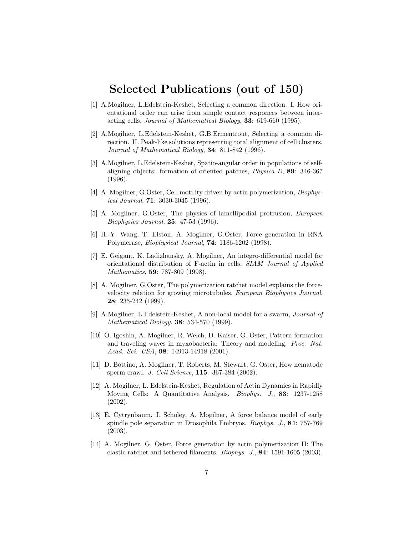# Selected Publications (out of 150)

- [1] A.Mogilner, L.Edelstein-Keshet, Selecting a common direction. I. How orientational order can arise from simple contact responces between interacting cells, Journal of Mathematical Biology, 33: 619-660 (1995).
- [2] A.Mogilner, L.Edelstein-Keshet, G.B.Ermentrout, Selecting a common direction. II. Peak-like solutions representing total alignment of cell clusters, Journal of Mathematical Biology, 34: 811-842 (1996).
- [3] A.Mogilner, L.Edelstein-Keshet, Spatio-angular order in populations of selfaligning objects: formation of oriented patches, Physica D, 89: 346-367 (1996).
- [4] A. Mogilner, G.Oster, Cell motility driven by actin polymerization, Biophysical Journal, 71: 3030-3045 (1996).
- [5] A. Mogilner, G.Oster, The physics of lamellipodial protrusion, European Biophysics Journal, 25: 47-53 (1996).
- [6] H.-Y. Wang, T. Elston, A. Mogilner, G.Oster, Force generation in RNA Polymerase, Biophysical Journal, 74: 1186-1202 (1998).
- [7] E. Geigant, K. Ladizhansky, A. Mogilner, An integro-differential model for orientational distribution of F-actin in cells, SIAM Journal of Applied Mathematics, 59: 787-809 (1998).
- [8] A. Mogilner, G.Oster, The polymerization ratchet model explains the forcevelocity relation for growing microtubules, European Biophysics Journal, 28: 235-242 (1999).
- [9] A.Mogilner, L.Edelstein-Keshet, A non-local model for a swarm, Journal of Mathematical Biology, 38: 534-570 (1999).
- [10] O. Igoshin, A. Mogilner, R. Welch, D. Kaiser, G. Oster, Pattern formation and traveling waves in myxobacteria: Theory and modeling. Proc. Nat. Acad. Sci. USA, **98**: 14913-14918 (2001).
- [11] D. Bottino, A. Mogilner, T. Roberts, M. Stewart, G. Oster, How nematode sperm crawl. J. Cell Science, 115: 367-384 (2002).
- [12] A. Mogilner, L. Edelstein-Keshet, Regulation of Actin Dynamics in Rapidly Moving Cells: A Quantitative Analysis. Biophys. J., 83: 1237-1258 (2002).
- [13] E. Cytrynbaum, J. Scholey, A. Mogilner, A force balance model of early spindle pole separation in Drosophila Embryos. Biophys. J., 84: 757-769 (2003).
- [14] A. Mogilner, G. Oster, Force generation by actin polymerization II: The elastic ratchet and tethered filaments. Biophys. J., 84: 1591-1605 (2003).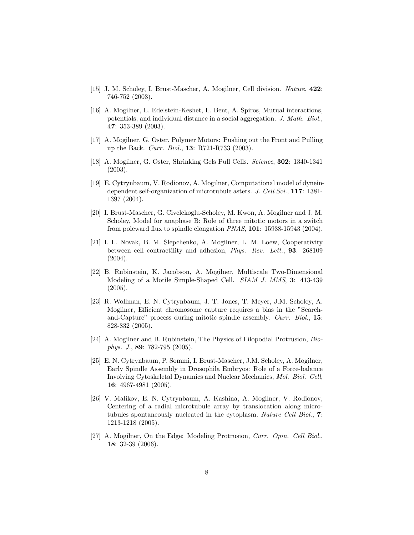- [15] J. M. Scholey, I. Brust-Mascher, A. Mogilner, Cell division. Nature, 422: 746-752 (2003).
- [16] A. Mogilner, L. Edelstein-Keshet, L. Bent, A. Spiros, Mutual interactions, potentials, and individual distance in a social aggregation. J. Math. Biol., 47: 353-389 (2003).
- [17] A. Mogilner, G. Oster, Polymer Motors: Pushing out the Front and Pulling up the Back. Curr. Biol., 13: R721-R733 (2003).
- [18] A. Mogilner, G. Oster, Shrinking Gels Pull Cells. Science, 302: 1340-1341 (2003).
- [19] E. Cytrynbaum, V. Rodionov, A. Mogilner, Computational model of dyneindependent self-organization of microtubule asters. J. Cell Sci., 117: 1381-1397 (2004).
- [20] I. Brust-Mascher, G. Civelekoglu-Scholey, M. Kwon, A. Mogilner and J. M. Scholey, Model for anaphase B: Role of three mitotic motors in a switch from poleward flux to spindle elongation PNAS, 101: 15938-15943 (2004).
- [21] I. L. Novak, B. M. Slepchenko, A. Mogilner, L. M. Loew, Cooperativity between cell contractility and adhesion, Phys. Rev. Lett., 93: 268109 (2004).
- [22] B. Rubinstein, K. Jacobson, A. Mogilner, Multiscale Two-Dimensional Modeling of a Motile Simple-Shaped Cell. SIAM J. MMS, 3: 413-439  $(2005).$
- [23] R. Wollman, E. N. Cytrynbaum, J. T. Jones, T. Meyer, J.M. Scholey, A. Mogilner, Efficient chromosome capture requires a bias in the "Searchand-Capture" process during mitotic spindle assembly. Curr. Biol., 15: 828-832 (2005).
- [24] A. Mogilner and B. Rubinstein, The Physics of Filopodial Protrusion, Biophys. J., 89: 782-795 (2005).
- [25] E. N. Cytrynbaum, P. Sommi, I. Brust-Mascher, J.M. Scholey, A. Mogilner, Early Spindle Assembly in Drosophila Embryos: Role of a Force-balance Involving Cytoskeletal Dynamics and Nuclear Mechanics, Mol. Biol. Cell, 16: 4967-4981 (2005).
- [26] V. Malikov, E. N. Cytrynbaum, A. Kashina, A. Mogilner, V. Rodionov, Centering of a radial microtubule array by translocation along microtubules spontaneously nucleated in the cytoplasm, Nature Cell Biol., 7: 1213-1218 (2005).
- [27] A. Mogilner, On the Edge: Modeling Protrusion, Curr. Opin. Cell Biol., 18: 32-39 (2006).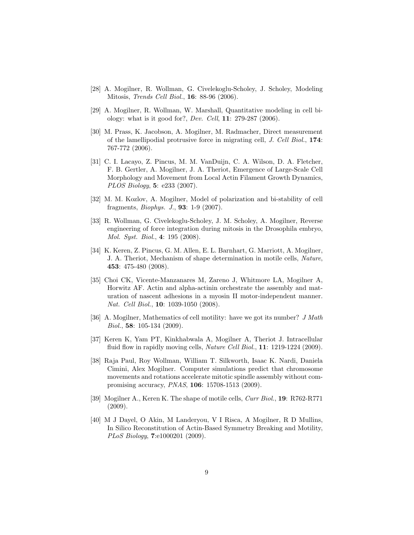- [28] A. Mogilner, R. Wollman, G. Civelekoglu-Scholey, J. Scholey, Modeling Mitosis, Trends Cell Biol., 16: 88-96 (2006).
- [29] A. Mogilner, R. Wollman, W. Marshall, Quantitative modeling in cell biology: what is it good for?, Dev. Cell, 11: 279-287 (2006).
- [30] M. Prass, K. Jacobson, A. Mogilner, M. Radmacher, Direct measurement of the lamellipodial protrusive force in migrating cell, J. Cell Biol., 174: 767-772 (2006).
- [31] C. I. Lacayo, Z. Pincus, M. M. VanDuijn, C. A. Wilson, D. A. Fletcher, F. B. Gertler, A. Mogilner, J. A. Theriot, Emergence of Large-Scale Cell Morphology and Movement from Local Actin Filament Growth Dynamics, PLOS Biology, 5: e233 (2007).
- [32] M. M. Kozlov, A. Mogilner, Model of polarization and bi-stability of cell fragments, Biophys. J., 93: 1-9 (2007).
- [33] R. Wollman, G. Civelekoglu-Scholey, J. M. Scholey, A. Mogilner, Reverse engineering of force integration during mitosis in the Drosophila embryo, Mol. Syst. Biol., 4: 195 (2008).
- [34] K. Keren, Z. Pincus, G. M. Allen, E. L. Barnhart, G. Marriott, A. Mogilner, J. A. Theriot, Mechanism of shape determination in motile cells, Nature, 453: 475-480 (2008).
- [35] Choi CK, Vicente-Manzanares M, Zareno J, Whitmore LA, Mogilner A, Horwitz AF. Actin and alpha-actinin orchestrate the assembly and maturation of nascent adhesions in a myosin II motor-independent manner. Nat. Cell Biol., 10: 1039-1050 (2008).
- [36] A. Mogilner, Mathematics of cell motility: have we got its number? *J Math* Biol., 58: 105-134 (2009).
- [37] Keren K, Yam PT, Kinkhabwala A, Mogilner A, Theriot J. Intracellular fluid flow in rapidly moving cells, *Nature Cell Biol.*, **11**: 1219-1224 (2009).
- [38] Raja Paul, Roy Wollman, William T. Silkworth, Isaac K. Nardi, Daniela Cimini, Alex Mogilner. Computer simulations predict that chromosome movements and rotations accelerate mitotic spindle assembly without compromising accuracy, PNAS, 106: 15708-1513 (2009).
- [39] Mogilner A., Keren K. The shape of motile cells, Curr Biol., 19: R762-R771 (2009).
- [40] M J Dayel, O Akin, M Landeryou, V I Risca, A Mogilner, R D Mullins, In Silico Reconstitution of Actin-Based Symmetry Breaking and Motility, PLoS Biology, 7:e1000201 (2009).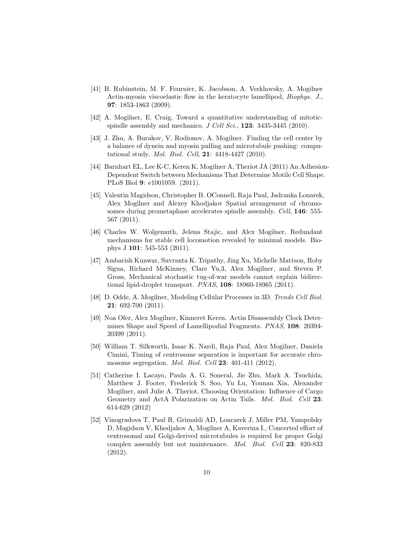- [41] B. Rubinstein, M. F. Fournier, K. Jacobson, A. Verkhovsky, A. Mogilner Actin-myosin viscoelastic flow in the keratocyte lamellipod, Biophys. J., 97: 1853-1863 (2009).
- [42] A. Mogilner, E. Craig, Toward a quantitative understanding of mitoticspindle assembly and mechanics,  $J$  Cell Sci., **123**: 3435-3445 (2010).
- [43] J. Zhu, A. Burakov, V. Rodionov, A. Mogilner. Finding the cell center by a balance of dynein and myosin pulling and microtubule pushing: computational study. Mol. Biol. Cell, 21: 4418-4427 (2010).
- [44] Barnhart EL, Lee K-C, Keren K, Mogilner A, Theriot JA (2011) An Adhesion-Dependent Switch between Mechanisms That Determine Motile Cell Shape. PLoS Biol 9: e1001059. (2011).
- [45] Valentin Magidson, Christopher B. OConnell, Raja Paul, Jadranka Lonarek, Alex Mogilner and Alexey Khodjakov Spatial arrangement of chromosomes during prometaphase accelerates spindle assembly. Cell, 146: 555-567 (2011).
- [46] Charles W. Wolgemuth, Jelena Stajic, and Alex Mogilner, Redundant mechanisms for stable cell locomotion revealed by minimal models. Biophys J 101: 545-553 (2011).
- [47] Ambarish Kunwar, Suvranta K. Tripathy, Jing Xu, Michelle Mattson, Roby Sigua, Richard McKinney, Clare Yu,3, Alex Mogilner, and Steven P. Gross, Mechanical stochastic tug-of-war models cannot explain bidirectional lipid-droplet transport. PNAS, 108: 18960-18965 (2011).
- [48] D. Odde, A. Mogilner, Modeling Cellular Processes in 3D. Trends Cell Biol. 21: 692-700 (2011).
- [49] Noa Ofer, Alex Mogilner, Kinneret Keren. Actin Disassembly Clock Determines Shape and Speed of Lamellipodial Fragments. PNAS, 108: 20394- 20399 (2011).
- [50] William T. Silkworth, Isaac K. Nardi, Raja Paul, Alex Mogilner, Daniela Cimini, Timing of centrosome separation is important for accurate chromosome segregation. *Mol. Biol. Cell* **23**: 401-411 (2012).
- [51] Catherine I. Lacayo, Paula A. G. Soneral, Jie Zhu, Mark A. Tsuchida, Matthew J. Footer, Frederick S. Soo, Yu Lu, Younan Xia, Alexander Mogilner, and Julie A. Theriot, Choosing Orientation: Influence of Cargo Geometry and ActA Polarization on Actin Tails. Mol. Biol. Cell 23: 614-629 (2012)
- [52] Vinogradova T, Paul R, Grimaldi AD, Loncarek J, Miller PM, Yampolsky D, Magidson V, Khodjakov A, Mogilner A, Kaverina I., Concerted effort of centrosomal and Golgi-derived microtubules is required for proper Golgi complex assembly but not maintenance. Mol. Biol. Cell 23: 820-833 (2012).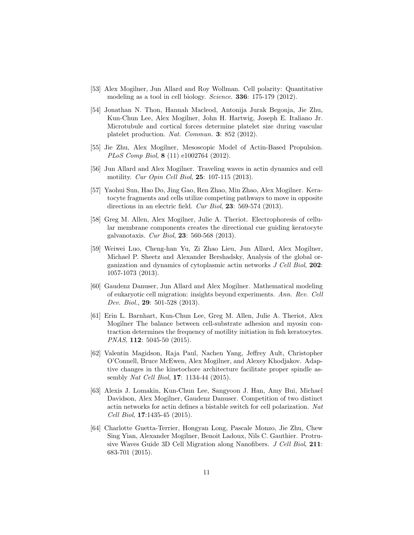- [53] Alex Mogilner, Jun Allard and Roy Wollman. Cell polarity: Quantitative modeling as a tool in cell biology. Science. 336: 175-179 (2012).
- [54] Jonathan N. Thon, Hannah Macleod, Antonija Jurak Begonja, Jie Zhu, Kun-Chun Lee, Alex Mogilner, John H. Hartwig, Joseph E. Italiano Jr. Microtubule and cortical forces determine platelet size during vascular platelet production. Nat. Commun. 3: 852 (2012).
- [55] Jie Zhu, Alex Mogilner, Mesoscopic Model of Actin-Based Propulsion. PLoS Comp Biol, 8 (11) e1002764 (2012).
- [56] Jun Allard and Alex Mogilner. Traveling waves in actin dynamics and cell motility. Cur Opin Cell Biol, 25: 107-115 (2013).
- [57] Yaohui Sun, Hao Do, Jing Gao, Ren Zhao, Min Zhao, Alex Mogilner. Keratocyte fragments and cells utilize competing pathways to move in opposite directions in an electric field. Cur Biol, 23: 569-574 (2013).
- [58] Greg M. Allen, Alex Mogilner, Julie A. Theriot. Electrophoresis of cellular membrane components creates the directional cue guiding keratocyte galvanotaxis. Cur Biol, 23: 560-568 (2013).
- [59] Weiwei Luo, Cheng-han Yu, Zi Zhao Lieu, Jun Allard, Alex Mogilner, Michael P. Sheetz and Alexander Bershadsky, Analysis of the global organization and dynamics of cytoplasmic actin networks J Cell Biol, 202: 1057-1073 (2013).
- [60] Gaudenz Danuser, Jun Allard and Alex Mogilner. Mathematical modeling of eukaryotic cell migration: insights beyond experiments. Ann. Rev. Cell Dev. Biol., 29: 501-528 (2013).
- [61] Erin L. Barnhart, Kun-Chun Lee, Greg M. Allen, Julie A. Theriot, Alex Mogilner The balance between cell-substrate adhesion and myosin contraction determines the frequency of motility initiation in fish keratocytes. PNAS, 112: 5045-50 (2015).
- [62] Valentin Magidson, Raja Paul, Nachen Yang, Jeffrey Ault, Christopher O'Connell, Bruce McEwen, Alex Mogilner, and Alexey Khodjakov. Adaptive changes in the kinetochore architecture facilitate proper spindle assembly *Nat Cell Biol*, **17**: **1134-44** (2015).
- [63] Alexis J. Lomakin, Kun-Chun Lee, Sangyoon J. Han, Amy Bui, Michael Davidson, Alex Mogilner, Gaudenz Danuser. Competition of two distinct actin networks for actin defines a bistable switch for cell polarization. Nat Cell Biol, 17:1435-45 (2015).
- [64] Charlotte Guetta-Terrier, Hongyan Long, Pascale Monzo, Jie Zhu, Chew Sing Yian, Alexander Mogilner, Benoit Ladoux, Nils C. Gauthier. Protrusive Waves Guide 3D Cell Migration along Nanofibers. J Cell Biol, 211: 683-701 (2015).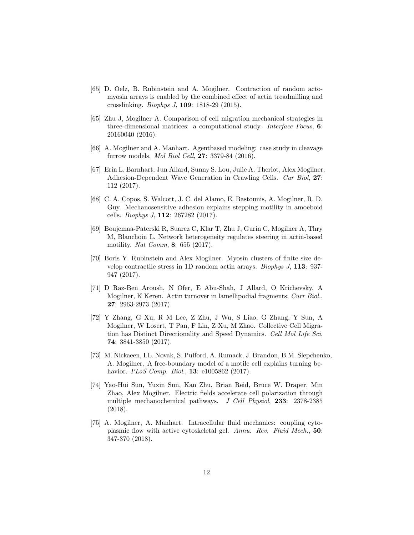- [65] D. Oelz, B. Rubinstein and A. Mogilner. Contraction of random actomyosin arrays is enabled by the combined effect of actin treadmilling and crosslinking. Biophys J, 109: 1818-29 (2015).
- [65] Zhu J, Mogilner A. Comparison of cell migration mechanical strategies in three-dimensional matrices: a computational study. Interface Focus, 6: 20160040 (2016).
- [66] A. Mogilner and A. Manhart. Agentbased modeling: case study in cleavage furrow models. Mol Biol Cell, 27: 3379-84 (2016).
- [67] Erin L. Barnhart, Jun Allard, Sunny S. Lou, Julie A. Theriot, Alex Mogilner. Adhesion-Dependent Wave Generation in Crawling Cells. Cur Biol, 27: 112 (2017).
- [68] C. A. Copos, S. Walcott, J. C. del Alamo, E. Bastounis, A. Mogilner, R. D. Guy. Mechanosensitive adhesion explains stepping motility in amoeboid cells. Biophys J, 112: 267282 (2017).
- [69] Boujemaa-Paterski R, Suarez C, Klar T, Zhu J, Gurin C, Mogilner A, Thry M, Blanchoin L. Network heterogeneity regulates steering in actin-based motility. Nat Comm, 8: 655 (2017).
- [70] Boris Y. Rubinstein and Alex Mogilner. Myosin clusters of finite size develop contractile stress in 1D random actin arrays. Biophys J, 113: 937- 947 (2017).
- [71] D Raz-Ben Aroush, N Ofer, E Abu-Shah, J Allard, O Krichevsky, A Mogilner, K Keren. Actin turnover in lamellipodial fragments, Curr Biol., 27: 2963-2973 (2017).
- [72] Y Zhang, G Xu, R M Lee, Z Zhu, J Wu, S Liao, G Zhang, Y Sun, A Mogilner, W Losert, T Pan, F Lin, Z Xu, M Zhao. Collective Cell Migration has Distinct Directionality and Speed Dynamics. Cell Mol Life Sci, 74: 3841-3850 (2017).
- [73] M. Nickaeen, I.L. Novak, S. Pulford, A. Rumack, J. Brandon, B.M. Slepchenko, A. Mogilner. A free-boundary model of a motile cell explains turning behavior. *PLoS Comp. Biol.*, **13**: e1005862 (2017).
- [74] Yao-Hui Sun, Yuxin Sun, Kan Zhu, Brian Reid, Bruce W. Draper, Min Zhao, Alex Mogilner. Electric fields accelerate cell polarization through multiple mechanochemical pathways. J Cell Physiol, 233: 2378-2385 (2018).
- [75] A. Mogilner, A. Manhart. Intracellular fluid mechanics: coupling cytoplasmic flow with active cytoskeletal gel. Annu. Rev. Fluid Mech., 50: 347-370 (2018).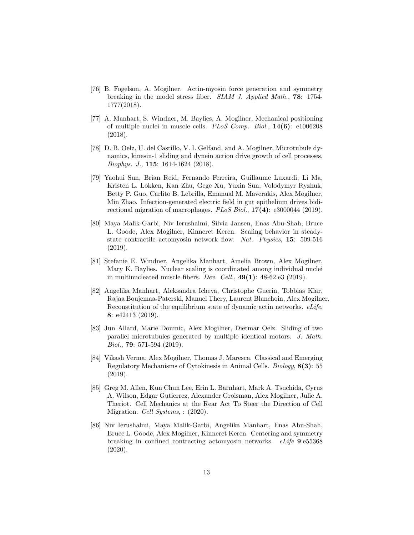- [76] B. Fogelson, A. Mogilner. Actin-myosin force generation and symmetry breaking in the model stress fiber. SIAM J. Applied Math., 78: 1754- 1777(2018).
- [77] A. Manhart, S. Windner, M. Baylies, A. Mogilner, Mechanical positioning of multiple nuclei in muscle cells. PLoS Comp. Biol., 14(6): e1006208 (2018).
- [78] D. B. Oelz, U. del Castillo, V. I. Gelfand, and A. Mogilner, Microtubule dynamics, kinesin-1 sliding and dynein action drive growth of cell processes. Biophys. J., 115: 1614-1624 (2018).
- [79] Yaohui Sun, Brian Reid, Fernando Ferreira, Guillaume Luxardi, Li Ma, Kristen L. Lokken, Kan Zhu, Gege Xu, Yuxin Sun, Volodymyr Ryzhuk, Betty P. Guo, Carlito B. Lebrilla, Emanual M. Maverakis, Alex Mogilner, Min Zhao. Infection-generated electric field in gut epithelium drives bidirectional migration of macrophages.  $PLoS$  Biol.,  $17(4)$ : e3000044 (2019).
- [80] Maya Malik-Garbi, Niv Ierushalmi, Silvia Jansen, Enas Abu-Shah, Bruce L. Goode, Alex Mogilner, Kinneret Keren. Scaling behavior in steadystate contractile actomyosin network flow. Nat. Physics, 15: 509-516 (2019).
- [81] Stefanie E. Windner, Angelika Manhart, Amelia Brown, Alex Mogilner, Mary K. Baylies. Nuclear scaling is coordinated among individual nuclei in multinucleated muscle fibers. Dev. Cell.,  $49(1)$ :  $48-62.$ e3 (2019).
- [82] Angelika Manhart, Aleksandra Icheva, Christophe Guerin, Tobbias Klar, Rajaa Boujemaa-Paterski, Manuel Thery, Laurent Blanchoin, Alex Mogilner. Reconstitution of the equilibrium state of dynamic actin networks. eLife, 8: e42413 (2019).
- [83] Jun Allard, Marie Doumic, Alex Mogilner, Dietmar Oelz. Sliding of two parallel microtubules generated by multiple identical motors. J. Math. Biol., 79: 571-594 (2019).
- [84] Vikash Verma, Alex Mogilner, Thomas J. Maresca. Classical and Emerging Regulatory Mechanisms of Cytokinesis in Animal Cells. Biology, 8(3): 55 (2019).
- [85] Greg M. Allen, Kun Chun Lee, Erin L. Barnhart, Mark A. Tsuchida, Cyrus A. Wilson, Edgar Gutierrez, Alexander Groisman, Alex Mogilner, Julie A. Theriot. Cell Mechanics at the Rear Act To Steer the Direction of Cell Migration. Cell Systems, : (2020).
- [86] Niv Ierushalmi, Maya Malik-Garbi, Angelika Manhart, Enas Abu-Shah, Bruce L. Goode, Alex Mogilner, Kinneret Keren. Centering and symmetry breaking in confined contracting actomyosin networks. eLife 9:e55368 (2020).